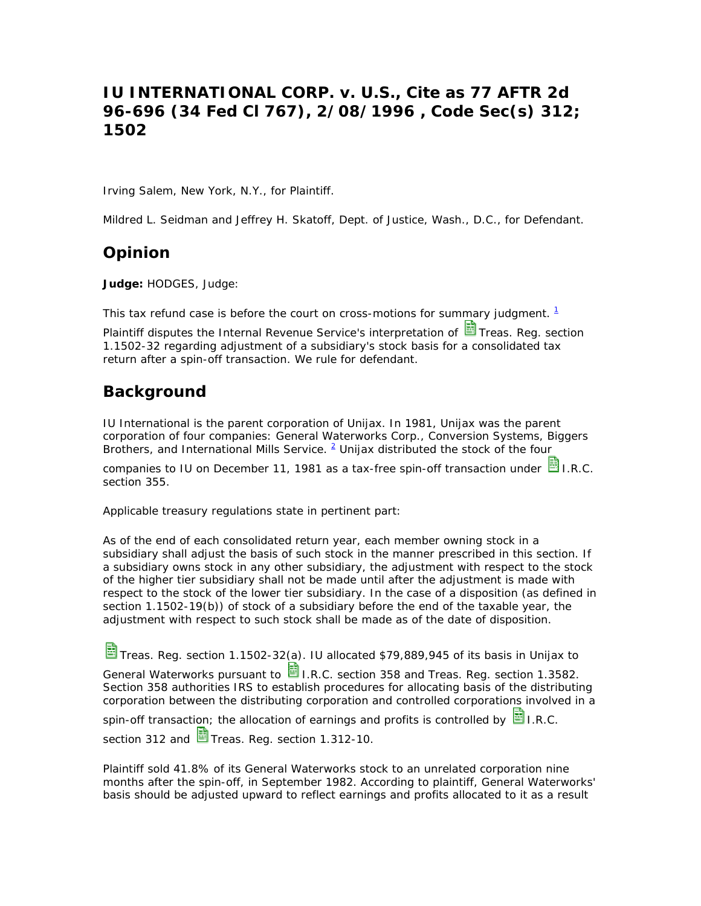# **IU INTERNATIONAL CORP. v. U.S., Cite as 77 AFTR 2d 96-696 (34 Fed Cl 767), 2/08/1996 , Code Sec(s) 312; 1502**

Irving Salem, New York, N.Y., for Plaintiff.

Mildred L. Seidman and Jeffrey H. Skatoff, Dept. of Justice, Wash., D.C., for Defendant.

## **Opinion**

**Judge:** HODGES, Judge:

This tax refund case is before the court on cross-motions for summary judgment.  $1$ 

Plaintiff disputes the Internal Revenue Service's interpretation of **国** Treas. Reg. section 1.1502-32 regarding adjustment of a subsidiary's stock basis for a consolidated tax return after a spin-off transaction. We rule for defendant.

# **Background**

IU International is the parent corporation of Unijax. In 1981, Unijax was the parent corporation of four companies: General Waterworks Corp., Conversion Systems, Biggers Brothers, and International Mills Service. <sup>2</sup> Unijax distributed the stock of the four

companies to IU on December 11, 1981 as a tax-free spin-off transaction under  $\blacksquare$  I.R.C. section 355.

Applicable treasury regulations state in pertinent part:

As of the end of each consolidated return year, each member owning stock in a subsidiary shall adjust the basis of such stock in the manner prescribed in this section. If a subsidiary owns stock in any other subsidiary, the adjustment with respect to the stock of the higher tier subsidiary shall not be made until after the adjustment is made with respect to the stock of the lower tier subsidiary. In the case of a disposition (as defined in section 1.1502-19(b)) of stock of a subsidiary before the end of the taxable year, the adjustment with respect to such stock shall be made as of the date of disposition.

Treas. Reg. section 1.1502-32(a). IU allocated \$79,889,945 of its basis in Unijax to

General Waterworks pursuant to  $\Box$  I.R.C. section 358 and Treas. Reg. section 1.3582. Section 358 authorities IRS to establish procedures for allocating basis of the distributing corporation between the distributing corporation and controlled corporations involved in a

spin-off transaction; the allocation of earnings and profits is controlled by  $\Box$  I.R.C. section 312 and  $\frac{1}{100}$  Treas. Reg. section 1.312-10.

Plaintiff sold 41.8% of its General Waterworks stock to an unrelated corporation nine months after the spin-off, in September 1982. According to plaintiff, General Waterworks' basis should be adjusted upward to reflect earnings and profits allocated to it as a result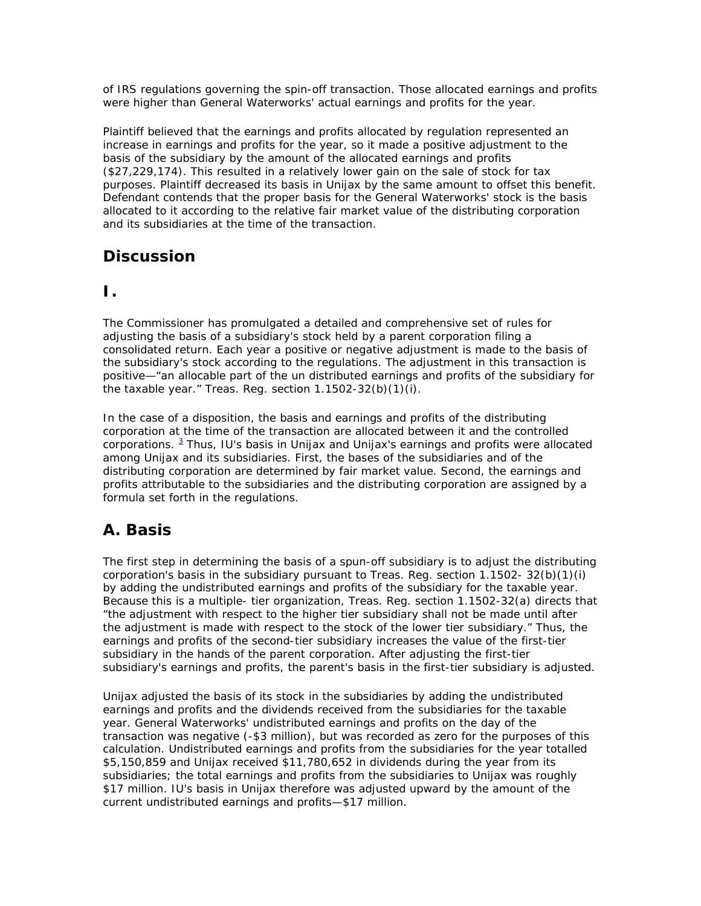of IRS regulations governing the spin-off transaction. Those allocated earnings and profits were higher than General Waterworks' actual earnings and profits for the year.

Plaintiff believed that the earnings and profits allocated by regulation represented an increase in earnings and profits for the year, so it made a positive adjustment to the basis of the subsidiary by the amount of the allocated earnings and profits (\$27,229,174). This resulted in a relatively lower gain on the sale of stock for tax purposes. Plaintiff decreased its basis in Unijax by the same amount to offset this benefit. Defendant contends that the proper basis for the General Waterworks' stock is the basis allocated to it according to the relative fair market value of the distributing corporation and its subsidiaries at the time of the transaction.

# **Discussion**

### **I.**

The Commissioner has promulgated a detailed and comprehensive set of rules for adjusting the basis of a subsidiary's stock held by a parent corporation filing a consolidated return. Each year a positive or negative adjustment is made to the basis of the subsidiary's stock according to the regulations. The adjustment in this transaction is positive—"an allocable part of the un distributed earnings and profits of the subsidiary for the taxable year." Treas. Reg. section  $1.1502-32(b)(1)(i)$ .

In the case of a disposition, the basis and earnings and profits of the distributing corporation at the time of the transaction are allocated between it and the controlled corporations. <sup>3</sup> Thus, IU's basis in Unijax and Unijax's earnings and profits were allocated among Unijax and its subsidiaries. First, the bases of the subsidiaries and of the distributing corporation are determined by fair market value. Second, the earnings and profits attributable to the subsidiaries and the distributing corporation are assigned by a formula set forth in the regulations.

# **A. Basis**

The first step in determining the basis of a spun-off subsidiary is to adjust the distributing corporation's basis in the subsidiary pursuant to Treas. Reg. section 1.1502- 32(b)(1)(i) by adding the undistributed earnings and profits of the subsidiary for the taxable year. Because this is a multiple- tier organization, Treas. Reg. section 1.1502-32(a) directs that "the adjustment with respect to the higher tier subsidiary shall not be made until after the adjustment is made with respect to the stock of the lower tier subsidiary." Thus, the earnings and profits of the second-tier subsidiary increases the value of the first-tier subsidiary in the hands of the parent corporation. After adjusting the first-tier subsidiary's earnings and profits, the parent's basis in the first-tier subsidiary is adjusted.

Unijax adjusted the basis of its stock in the subsidiaries by adding the undistributed earnings and profits and the dividends received from the subsidiaries for the taxable year. General Waterworks' undistributed earnings and profits on the day of the transaction was negative (-\$3 million), but was recorded as zero for the purposes of this calculation. Undistributed earnings and profits from the subsidiaries for the year totalled \$5,150,859 and Unijax received \$11,780,652 in dividends during the year from its subsidiaries; the total earnings and profits from the subsidiaries to Unijax was roughly \$17 million. IU's basis in Unijax therefore was adjusted upward by the amount of the current undistributed earnings and profits—\$17 million.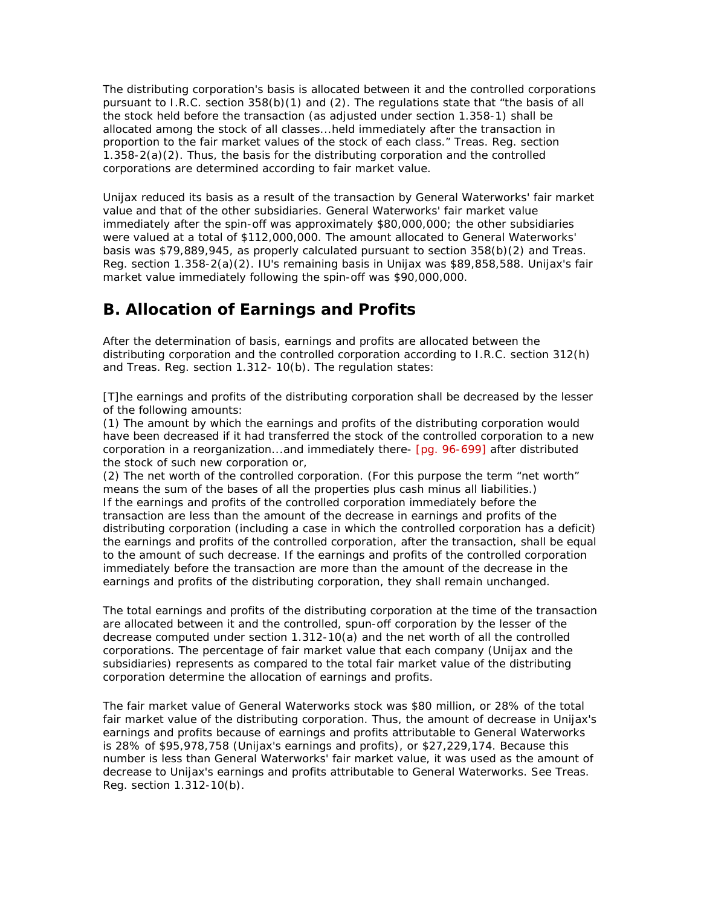The distributing corporation's basis is allocated between it and the controlled corporations pursuant to I.R.C. section  $358(b)(1)$  and (2). The regulations state that "the basis of all the stock held before the transaction (as adjusted under section 1.358-1) shall be allocated among the stock of all classes...held immediately after the transaction in proportion to the fair market values of the stock of each class." Treas. Reg. section 1.358-2(a)(2). Thus, the basis for the distributing corporation and the controlled corporations are determined according to fair market value.

Unijax reduced its basis as a result of the transaction by General Waterworks' fair market value and that of the other subsidiaries. General Waterworks' fair market value immediately after the spin-off was approximately \$80,000,000; the other subsidiaries were valued at a total of \$112,000,000. The amount allocated to General Waterworks' basis was \$79,889,945, as properly calculated pursuant to section 358(b)(2) and Treas. Reg. section 1.358-2(a)(2). IU's remaining basis in Unijax was \$89,858,588. Unijax's fair market value immediately following the spin-off was \$90,000,000.

## **B. Allocation of Earnings and Profits**

After the determination of basis, earnings and profits are allocated between the distributing corporation and the controlled corporation according to I.R.C. section 312(h) and Treas. Reg. section 1.312- 10(b). The regulation states:

[T]he earnings and profits of the distributing corporation shall be decreased by the lesser of the following amounts:

(1) The amount by which the earnings and profits of the distributing corporation would have been decreased if it had transferred the stock of the controlled corporation to a new corporation in a reorganization...and immediately there- [pg. 96-699] after distributed the stock of such new corporation or,

(2) The net worth of the controlled corporation. (For this purpose the term "net worth" means the sum of the bases of all the properties plus cash minus all liabilities.) If the earnings and profits of the controlled corporation immediately before the transaction are less than the amount of the decrease in earnings and profits of the distributing corporation (including a case in which the controlled corporation has a deficit) the earnings and profits of the controlled corporation, after the transaction, shall be equal to the amount of such decrease. If the earnings and profits of the controlled corporation immediately before the transaction are more than the amount of the decrease in the earnings and profits of the distributing corporation, they shall remain unchanged.

The total earnings and profits of the distributing corporation at the time of the transaction are allocated between it and the controlled, spun-off corporation by the lesser of the decrease computed under section 1.312-10(a) and the net worth of all the controlled corporations. The percentage of fair market value that each company (Unijax and the subsidiaries) represents as compared to the total fair market value of the distributing corporation determine the allocation of earnings and profits.

The fair market value of General Waterworks stock was \$80 million, or 28% of the total fair market value of the distributing corporation. Thus, the amount of decrease in Unijax's earnings and profits because of earnings and profits attributable to General Waterworks is 28% of \$95,978,758 (Unijax's earnings and profits), or \$27,229,174. Because this number is less than General Waterworks' fair market value, it was used as the amount of decrease to Unijax's earnings and profits attributable to General Waterworks. See Treas. Reg. section 1.312-10(b).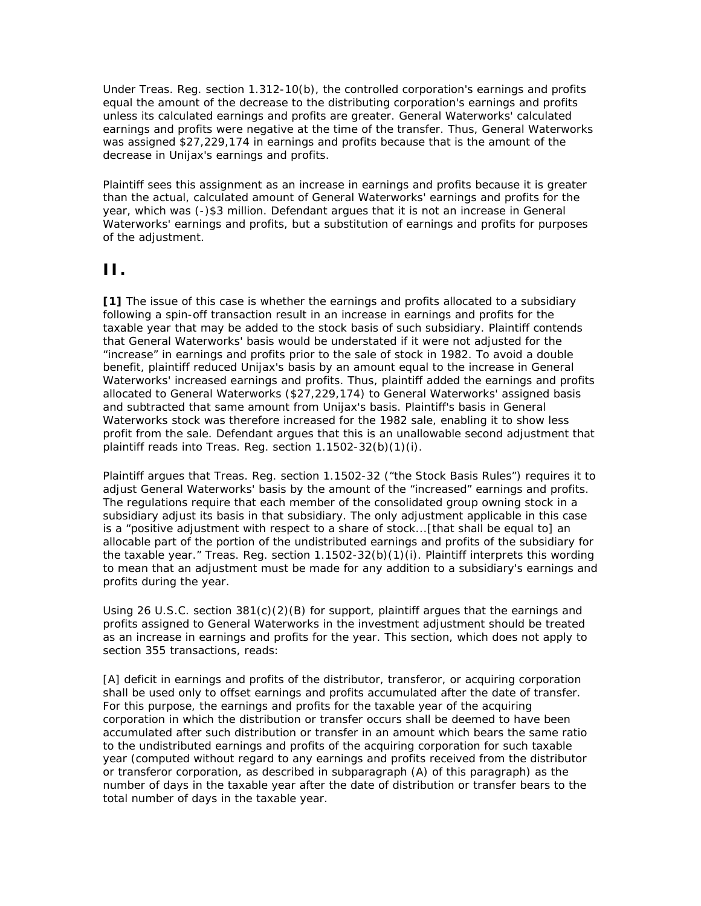Under Treas. Reg. section 1.312-10(b), the controlled corporation's earnings and profits equal the amount of the decrease to the distributing corporation's earnings and profits unless its calculated earnings and profits are greater. General Waterworks' calculated earnings and profits were negative at the time of the transfer. Thus, General Waterworks was assigned \$27,229,174 in earnings and profits because that is the amount of the decrease in Unijax's earnings and profits.

Plaintiff sees this assignment as an increase in earnings and profits because it is greater than the actual, calculated amount of General Waterworks' earnings and profits for the year, which was (-)\$3 million. Defendant argues that it is not an increase in General Waterworks' earnings and profits, but a substitution of earnings and profits for purposes of the adjustment.

### **II.**

**[1]** The issue of this case is whether the earnings and profits allocated to a subsidiary following a spin-off transaction result in an increase in earnings and profits for the taxable year that may be added to the stock basis of such subsidiary. Plaintiff contends that General Waterworks' basis would be understated if it were not adjusted for the "increase" in earnings and profits prior to the sale of stock in 1982. To avoid a double benefit, plaintiff reduced Unijax's basis by an amount equal to the increase in General Waterworks' increased earnings and profits. Thus, plaintiff added the earnings and profits allocated to General Waterworks (\$27,229,174) to General Waterworks' assigned basis and subtracted that same amount from Unijax's basis. Plaintiff's basis in General Waterworks stock was therefore increased for the 1982 sale, enabling it to show less profit from the sale. Defendant argues that this is an unallowable second adjustment that plaintiff reads into Treas. Reg. section 1.1502-32(b)(1)(i).

Plaintiff argues that Treas. Reg. section 1.1502-32 ("the Stock Basis Rules") requires it to adjust General Waterworks' basis by the amount of the "increased" earnings and profits. The regulations require that each member of the consolidated group owning stock in a subsidiary adjust its basis in that subsidiary. The only adjustment applicable in this case is a "positive adjustment with respect to a share of stock...[that shall be equal to] an allocable part of the portion of the undistributed earnings and profits of the subsidiary for the taxable year." Treas. Reg. section 1.1502-32(b)(1)(i). Plaintiff interprets this wording to mean that an adjustment must be made for any addition to a subsidiary's earnings and profits during the year.

Using 26 U.S.C. section  $381(c)(2)(B)$  for support, plaintiff argues that the earnings and profits assigned to General Waterworks in the investment adjustment should be treated as an increase in earnings and profits for the year. This section, which does not apply to section 355 transactions, reads:

[A] deficit in earnings and profits of the distributor, transferor, or acquiring corporation shall be used only to offset earnings and profits accumulated after the date of transfer. For this purpose, *the earnings and profits for the taxable year of the acquiring corporation in which the distribution or transfer occurs shall be deemed to have been accumulated after such distribution or transfer in an amount which bears the same ratio to the undistributed earnings and profits of the acquiring corporation for such taxable year* (computed without regard to any earnings and profits received from the distributor or transferor corporation, as described in subparagraph (A) of this paragraph) as the number of days in the taxable year after the date of distribution or transfer bears to the total number of days in the taxable year.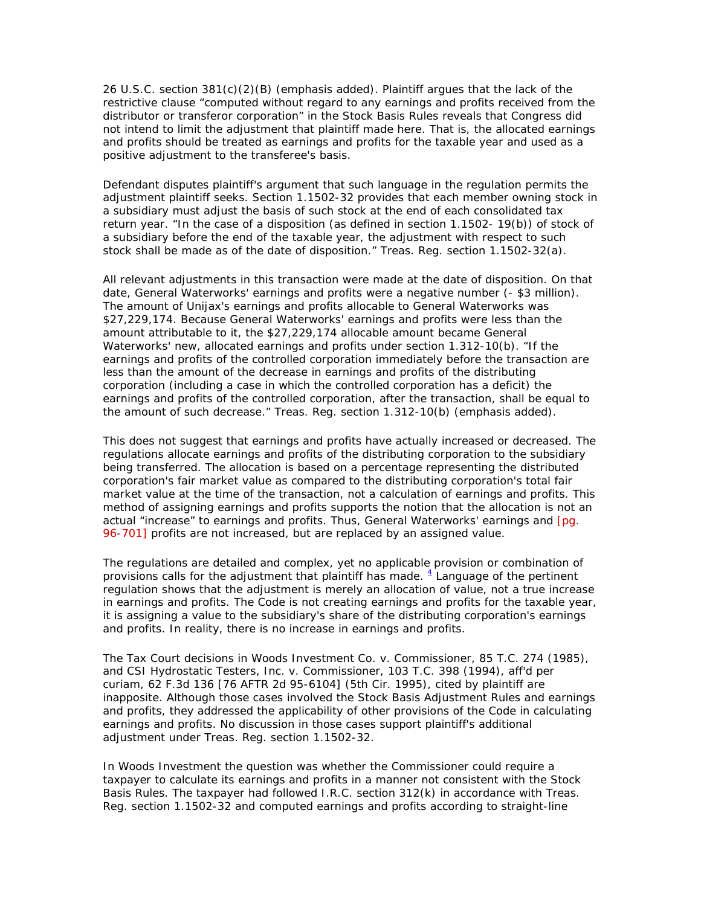26 U.S.C. section 381(c)(2)(B) (emphasis added). Plaintiff argues that the lack of the restrictive clause "computed without regard to any earnings and profits received from the distributor or transferor corporation" in the Stock Basis Rules reveals that Congress did not intend to limit the adjustment that plaintiff made here. That is, the allocated earnings and profits should be treated as earnings and profits for the taxable year and used as a positive adjustment to the transferee's basis.

Defendant disputes plaintiff's argument that such language in the regulation permits the adjustment plaintiff seeks. Section 1.1502-32 provides that each member owning stock in a subsidiary must adjust the basis of such stock at the end of each consolidated tax return year. "In the case of a disposition (as defined in section 1.1502- 19(b)) of stock of a subsidiary before the end of the taxable year, the adjustment with respect to such stock shall be made as of the date of disposition." Treas. Reg. section 1.1502-32(a).

All relevant adjustments in this transaction were made at the date of disposition. On that date, General Waterworks' earnings and profits were a negative number (- \$3 million). The amount of Unijax's earnings and profits allocable to General Waterworks was \$27,229,174. Because General Waterworks' earnings and profits were less than the amount attributable to it, the \$27,229,174 allocable amount became General Waterworks' new, allocated earnings and profits under section 1.312-10(b). "If the earnings and profits of the controlled corporation immediately before the transaction are less than the amount of the decrease in earnings and profits of the distributing corporation (including a case in which the controlled corporation has a deficit) the earnings and profits of the controlled corporation, after the transaction, shall be *equal to* the amount of such decrease." Treas. Reg. section 1.312-10(b) (emphasis added).

This does not suggest that earnings and profits have actually increased or decreased. The regulations allocate earnings and profits of the distributing corporation to the subsidiary being transferred. The allocation is based on a percentage representing the distributed corporation's fair market value as compared to the distributing corporation's total fair market value at the time of the transaction, not a calculation of earnings and profits. This method of assigning earnings and profits supports the notion that the allocation is not an actual "increase" to earnings and profits. Thus, General Waterworks' earnings and [pg. 96-701] profits are not increased, but are replaced by an assigned value.

The regulations are detailed and complex, yet no applicable provision or combination of provisions calls for the adjustment that plaintiff has made.  $4$  Language of the pertinent regulation shows that the adjustment is merely an allocation of value, not a true increase in earnings and profits. The Code is not creating earnings and profits for the taxable year, it is assigning a value to the subsidiary's share of the distributing corporation's earnings and profits. In reality, there is no increase in earnings and profits.

The Tax Court decisions in Woods Investment Co. v. Commissioner, 85 T.C. 274 (1985), and CSI Hydrostatic Testers, Inc. v. Commissioner, 103 T.C. 398 (1994), aff'd per curiam, 62 F.3d 136 [76 AFTR 2d 95-6104] (5th Cir. 1995), cited by plaintiff are inapposite. Although those cases involved the Stock Basis Adjustment Rules and earnings and profits, they addressed the applicability of other provisions of the Code in calculating earnings and profits. No discussion in those cases support plaintiff's additional adjustment under Treas. Reg. section 1.1502-32.

In Woods Investment the question was whether the Commissioner could require a taxpayer to calculate its earnings and profits in a manner not consistent with the Stock Basis Rules. The taxpayer had followed I.R.C. section 312(k) in accordance with Treas. Reg. section 1.1502-32 and computed earnings and profits according to straight-line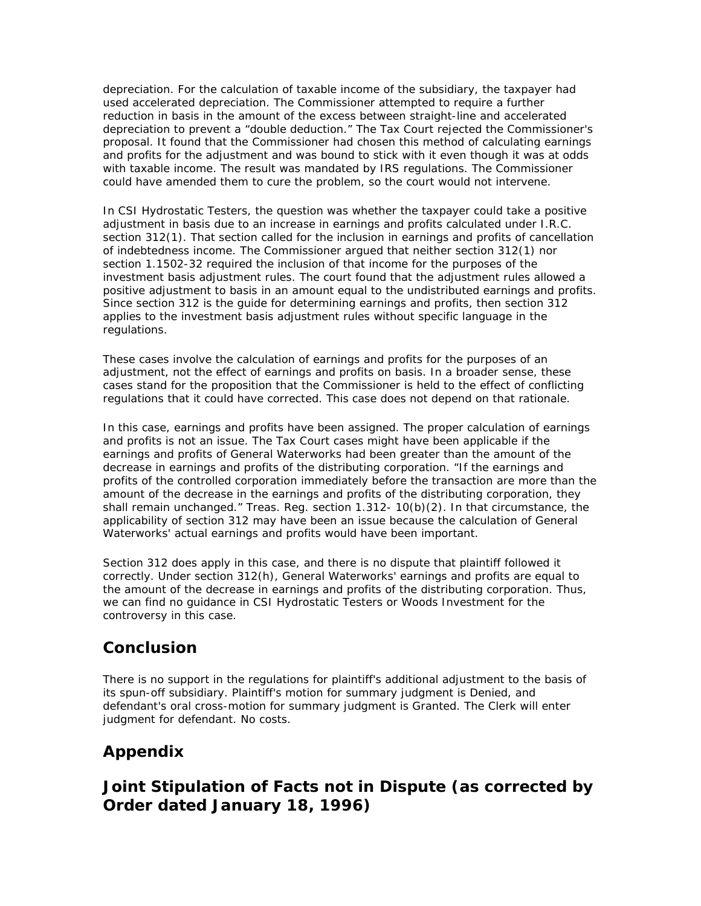depreciation. For the calculation of taxable income of the subsidiary, the taxpayer had used accelerated depreciation. The Commissioner attempted to require a further reduction in basis in the amount of the excess between straight-line and accelerated depreciation to prevent a "double deduction." The Tax Court rejected the Commissioner's proposal. It found that the Commissioner had chosen this method of calculating earnings and profits for the adjustment and was bound to stick with it even though it was at odds with taxable income. The result was mandated by IRS regulations. The Commissioner could have amended them to cure the problem, so the court would not intervene.

In CSI Hydrostatic Testers, the question was whether the taxpayer could take a positive adjustment in basis due to an increase in earnings and profits calculated under I.R.C. section 312(1). That section called for the inclusion in earnings and profits of cancellation of indebtedness income. The Commissioner argued that neither section 312(1) nor section 1.1502-32 required the inclusion of that income for the purposes of the investment basis adjustment rules. The court found that the adjustment rules allowed a positive adjustment to basis in an amount equal to the undistributed earnings and profits. Since section 312 is the guide for determining earnings and profits, then section 312 applies to the investment basis adjustment rules without specific language in the regulations.

These cases involve the calculation of earnings and profits for the purposes of an adjustment, not the effect of earnings and profits on basis. In a broader sense, these cases stand for the proposition that the Commissioner is held to the effect of conflicting regulations that it could have corrected. This case does not depend on that rationale.

In this case, earnings and profits have been assigned. The proper calculation of earnings and profits is not an issue. The Tax Court cases might have been applicable if the earnings and profits of General Waterworks had been greater than the amount of the decrease in earnings and profits of the distributing corporation. "If the earnings and profits of the controlled corporation immediately before the transaction are more than the amount of the decrease in the earnings and profits of the distributing corporation, they shall remain unchanged." Treas. Reg. section 1.312- 10(b)(2). In that circumstance, the applicability of section 312 may have been an issue because the calculation of General Waterworks' actual earnings and profits would have been important.

Section 312 does apply in this case, and there is no dispute that plaintiff followed it correctly. Under section 312(h), General Waterworks' earnings and profits are equal to the amount of the decrease in earnings and profits of the distributing corporation. Thus, we can find no guidance in CSI Hydrostatic Testers or Woods Investment for the controversy in this case.

### **Conclusion**

There is no support in the regulations for plaintiff's additional adjustment to the basis of its spun-off subsidiary. Plaintiff's motion for summary judgment is Denied, and defendant's oral cross-motion for summary judgment is Granted. The Clerk will enter judgment for defendant. No costs.

# **Appendix**

# **Joint Stipulation of Facts not in Dispute (as corrected by Order dated January 18, 1996)**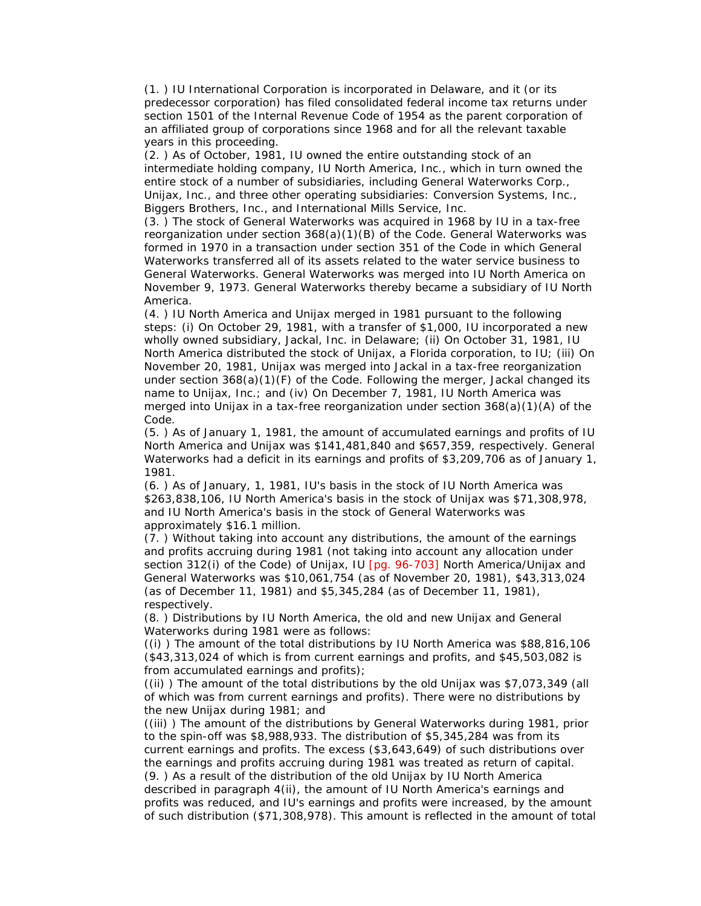(1. ) IU International Corporation is incorporated in Delaware, and it (or its predecessor corporation) has filed consolidated federal income tax returns under section 1501 of the Internal Revenue Code of 1954 as the parent corporation of an affiliated group of corporations since 1968 and for all the relevant taxable years in this proceeding.

(2. ) As of October, 1981, IU owned the entire outstanding stock of an intermediate holding company, IU North America, Inc., which in turn owned the entire stock of a number of subsidiaries, including General Waterworks Corp., Unijax, Inc., and three other operating subsidiaries: Conversion Systems, Inc., Biggers Brothers, Inc., and International Mills Service, Inc.

(3. ) The stock of General Waterworks was acquired in 1968 by IU in a tax-free reorganization under section 368(a)(1)(B) of the Code. General Waterworks was formed in 1970 in a transaction under section 351 of the Code in which General Waterworks transferred all of its assets related to the water service business to General Waterworks. General Waterworks was merged into IU North America on November 9, 1973. General Waterworks thereby became a subsidiary of IU North America.

(4. ) IU North America and Unijax merged in 1981 pursuant to the following steps: (i) On October 29, 1981, with a transfer of \$1,000, IU incorporated a new wholly owned subsidiary, Jackal, Inc. in Delaware; (ii) On October 31, 1981, IU North America distributed the stock of Unijax, a Florida corporation, to IU; (iii) On November 20, 1981, Unijax was merged into Jackal in a tax-free reorganization under section 368(a)(1)(F) of the Code. Following the merger, Jackal changed its name to Unijax, Inc.; and (iv) On December 7, 1981, IU North America was merged into Unijax in a tax-free reorganization under section 368(a)(1)(A) of the Code.

(5. ) As of January 1, 1981, the amount of accumulated earnings and profits of IU North America and Unijax was \$141,481,840 and \$657,359, respectively. General Waterworks had a deficit in its earnings and profits of \$3,209,706 as of January 1, 1981.

(6. ) As of January, 1, 1981, IU's basis in the stock of IU North America was \$263,838,106, IU North America's basis in the stock of Unijax was \$71,308,978, and IU North America's basis in the stock of General Waterworks was approximately \$16.1 million.

(7. ) Without taking into account any distributions, the amount of the earnings and profits accruing during 1981 (not taking into account any allocation under section 312(i) of the Code) of Unijax, IU [pg. 96-703] North America/Unijax and General Waterworks was \$10,061,754 (as of November 20, 1981), \$43,313,024 (as of December 11, 1981) and \$5,345,284 (as of December 11, 1981), respectively.

(8. ) Distributions by IU North America, the old and new Unijax and General Waterworks during 1981 were as follows:

((i) ) The amount of the total distributions by IU North America was \$88,816,106 (\$43,313,024 of which is from current earnings and profits, and \$45,503,082 is from accumulated earnings and profits);

((ii) ) The amount of the total distributions by the old Unijax was \$7,073,349 (all of which was from current earnings and profits). There were no distributions by the new Unijax during 1981; and

((iii) ) The amount of the distributions by General Waterworks during 1981, prior to the spin-off was \$8,988,933. The distribution of \$5,345,284 was from its current earnings and profits. The excess (\$3,643,649) of such distributions over the earnings and profits accruing during 1981 was treated as return of capital. (9. ) As a result of the distribution of the old Unijax by IU North America described in paragraph 4(ii), the amount of IU North America's earnings and profits was reduced, and IU's earnings and profits were increased, by the amount of such distribution (\$71,308,978). This amount is reflected in the amount of total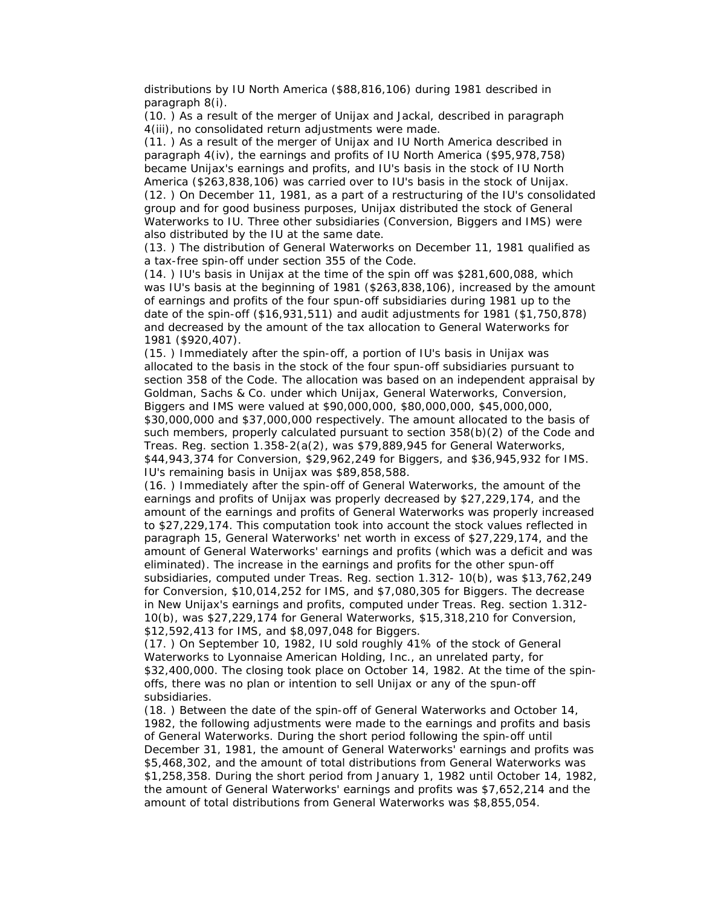distributions by IU North America (\$88,816,106) during 1981 described in paragraph 8(i).

(10. ) As a result of the merger of Unijax and Jackal, described in paragraph 4(iii), no consolidated return adjustments were made.

(11. ) As a result of the merger of Unijax and IU North America described in paragraph 4(iv), the earnings and profits of IU North America (\$95,978,758) became Unijax's earnings and profits, and IU's basis in the stock of IU North America (\$263,838,106) was carried over to IU's basis in the stock of Unijax. (12. ) On December 11, 1981, as a part of a restructuring of the IU's consolidated group and for good business purposes, Unijax distributed the stock of General Waterworks to IU. Three other subsidiaries (Conversion, Biggers and IMS) were also distributed by the IU at the same date.

(13. ) The distribution of General Waterworks on December 11, 1981 qualified as a tax-free spin-off under section 355 of the Code.

(14. ) IU's basis in Unijax at the time of the spin off was \$281,600,088, which was IU's basis at the beginning of 1981 (\$263,838,106), increased by the amount of earnings and profits of the four spun-off subsidiaries during 1981 up to the date of the spin-off (\$16,931,511) and audit adjustments for 1981 (\$1,750,878) and decreased by the amount of the tax allocation to General Waterworks for 1981 (\$920,407).

(15. ) Immediately after the spin-off, a portion of IU's basis in Unijax was allocated to the basis in the stock of the four spun-off subsidiaries pursuant to section 358 of the Code. The allocation was based on an independent appraisal by Goldman, Sachs & Co. under which Unijax, General Waterworks, Conversion, Biggers and IMS were valued at \$90,000,000, \$80,000,000, \$45,000,000, \$30,000,000 and \$37,000,000 respectively. The amount allocated to the basis of such members, properly calculated pursuant to section 358(b)(2) of the Code and Treas. Reg. section 1.358-2(a(2), was \$79,889,945 for General Waterworks, \$44,943,374 for Conversion, \$29,962,249 for Biggers, and \$36,945,932 for IMS. IU's remaining basis in Unijax was \$89,858,588.

(16. ) Immediately after the spin-off of General Waterworks, the amount of the earnings and profits of Unijax was properly decreased by \$27,229,174, and the amount of the earnings and profits of General Waterworks was properly increased to \$27,229,174. This computation took into account the stock values reflected in paragraph 15, General Waterworks' net worth in excess of \$27,229,174, and the amount of General Waterworks' earnings and profits (which was a deficit and was eliminated). The increase in the earnings and profits for the other spun-off subsidiaries, computed under Treas. Reg. section 1.312- 10(b), was \$13,762,249 for Conversion, \$10,014,252 for IMS, and \$7,080,305 for Biggers. The decrease in New Unijax's earnings and profits, computed under Treas. Reg. section 1.312- 10(b), was \$27,229,174 for General Waterworks, \$15,318,210 for Conversion, \$12,592,413 for IMS, and \$8,097,048 for Biggers.

(17. ) On September 10, 1982, IU sold roughly 41% of the stock of General Waterworks to Lyonnaise American Holding, Inc., an unrelated party, for \$32,400,000. The closing took place on October 14, 1982. At the time of the spinoffs, there was no plan or intention to sell Unijax or any of the spun-off subsidiaries.

(18. ) Between the date of the spin-off of General Waterworks and October 14, 1982, the following adjustments were made to the earnings and profits and basis of General Waterworks. During the short period following the spin-off until December 31, 1981, the amount of General Waterworks' earnings and profits was \$5,468,302, and the amount of total distributions from General Waterworks was \$1,258,358. During the short period from January 1, 1982 until October 14, 1982, the amount of General Waterworks' earnings and profits was \$7,652,214 and the amount of total distributions from General Waterworks was \$8,855,054.